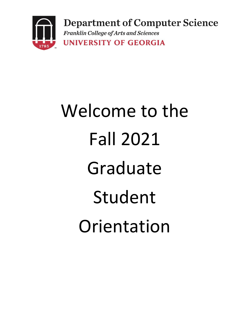

# Welcome to the Fall 2021 Graduate Student Orientation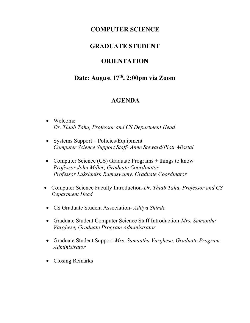## **COMPUTER SCIENCE**

## **GRADUATE STUDENT**

# **ORIENTATION**

# **Date: August 17th, 2:00pm via Zoom**

# **AGENDA**

- Welcome *Dr. Thiab Taha, Professor and CS Department Head*
- Systems Support Policies/Equipment *Computer Science Support Staff- Anne Steward/Piotr Misztal*
- Computer Science (CS) Graduate Programs + things to know *Professor John Miller, Graduate Coordinator Professor Lakshmish Ramaswamy, Graduate Coordinator*
- Computer Science Faculty Introduction*-Dr. Thiab Taha, Professor and CS Department Head*
- CS Graduate Student Association- *Aditya Shinde*
- Graduate Student Computer Science Staff Introduction-*Mrs. Samantha Varghese, Graduate Program Administrator*
- Graduate Student Support-*Mrs. Samantha Varghese, Graduate Program Administrator*
- Closing Remarks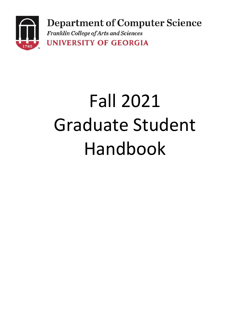

# Fall 2021 Graduate Student Handbook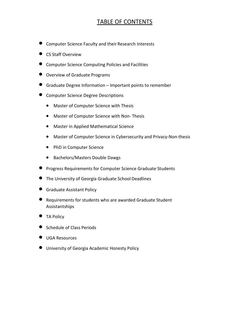## TABLE OF CONTENTS

- Computer Science Faculty and their Research Interests
- **•** CS Staff Overview
- Computer Science Computing Policies and Facilities
- Overview of Graduate Programs
- Graduate Degree Information Important points to remember
- **Computer Science Degree Descriptions** 
	- Master of Computer Science with Thesis
	- Master of Computer Science with Non- Thesis
	- Master in Applied Mathematical Science
	- Master of Computer Science in Cybersecurity and Privacy-Non-thesis
	- PhD in Computer Science
	- Bachelors/Masters Double Dawgs
- Progress Requirements for Computer Science Graduate Students
- The University of Georgia Graduate School Deadlines
- **•** Graduate Assistant Policy
- Requirements for students who are awarded Graduate Student Assistantships
- **•** TA Policy
- Schedule of Class Periods
- UGA Resources
- University of Georgia Academic Honesty Policy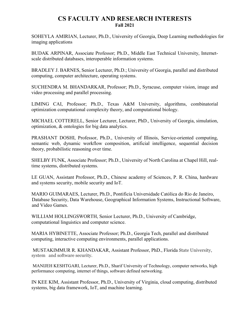#### **CS FACULTY AND RESEARCH INTERESTS Fall 2021**

SOHEYLA AMIRIAN, Lecturer, Ph.D., University of Georgia, Deep Learning methodologies for imaging applications

BUDAK ARPINAR, Associate Professor; Ph.D., Middle East Technical University, Internetscale distributed databases, interoperable information systems.

BRADLEY J. BARNES, Senior Lecturer, Ph.D.; University of Georgia, parallel and distributed computing, computer architecture, operating systems.

SUCHENDRA M. BHANDARKAR, Professor; Ph.D., Syracuse, computer vision, image and video processing and parallel processing.

LIMING CAI, Professor; Ph.D., Texas A&M University, algorithms, combinatorial optimization computational complexity theory, and computational biology.

MICHAEL COTTERELL, Senior Lecturer, Lecturer, PhD., University of Georgia, simulation, optimization, & ontologies for big data analytics.

PRASHANT DOSHI, Professor, Ph.D., University of Illinois, Service-oriented computing, semantic web, dynamic workflow composition, artificial intelligence, sequential decision theory, probabilistic reasoning over time.

SHELBY FUNK, Associate Professor; Ph.D., University of North Carolina at Chapel Hill, realtime systems, distributed systems.

LE GUAN, Assistant Professor, Ph.D., Chinese academy of Sciences, P. R. China, hardware and systems security, mobile security and IoT.

MARIO GUIMARAES, Lecturer, Ph.D., Pontificia Universidade Católica do Rio de Janeiro, Database Security, Data Warehouse, Geographical Information Systems, Instructional Software, and Video Games.

WILLIAM HOLLINGSWORTH, Senior Lecturer, Ph.D., University of Cambridge, computational linguistics and computer science.

MARIA HYBINETTE, Associate Professor; Ph.D., Georgia Tech, parallel and distributed computing, interactive computing environments, parallel applications.

 MUSTAKIMMUR R. KHANDAKAR, Assistant Professor, PhD., Florida State University, system and software security.

 MANIJEH KESHTGARI, Lecturer, Ph.D., Sharif University of Technology, computer networks, high performance computing, internet of things, software defined networking.

IN KEE KIM, Assistant Professor, Ph.D., University of Virginia, cloud computing, distributed systems, big data framework, IoT, and machine learning.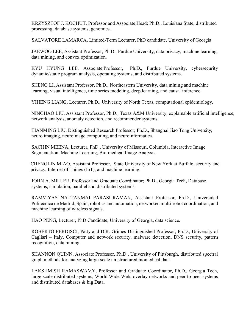KRZYSZTOF J. KOCHUT, Professor and Associate Head; Ph.D., Louisiana State, distributed processing, database systems, genomics.

SALVATORE LAMARCA, Limited-Term Lecturer, PhD candidate, University of Georgia

JAEWOO LEE, Assistant Professor, Ph.D., Purdue University, data privacy, machine learning, data mining, and convex optimization.

KYU HYUNG LEE, Associate Professor, Ph.D., Purdue University, cybersecurity dynamic/static program analysis, operating systems, and distributed systems.

SHENG LI, Assistant Professor, Ph.D., Northeastern University, data mining and machine learning, visual intelligence, time series modeling, deep learning, and causal inference.

YIHENG LIANG, Lecturer, Ph.D., University of North Texas, computational epidemiology.

NINGHAO LIU, Assistant Professor, Ph.D., Texas A&M University, explainable artificial intelligence, network analysis, anomaly detection, and recommender systems.

TIANMING LIU, Distinguished Research Professor; Ph.D., Shanghai Jiao Tong University, neuro imaging, neuroimage computing, and neuroinformatics.

SACHIN MEENA, Lecturer, PhD., University of Missouri, Columbia, Interactive Image Segmentation, Machine Learning, Bio-medical Image Analysis.

 CHENGLIN MIAO, Assistant Professor, State University of New York at Buffalo, security and privacy, Internet of Things (IoT), and machine learning.

JOHN A. MILLER, Professor and Graduate Coordinator; Ph.D., Georgia Tech, Database systems, simulation, parallel and distributed systems.

RAMVIYAS NATTANMAI PARASURAMAN, Assistant Professor, Ph.D., Universidad Politecnica de Madrid, Spain, robotics and automation, networked multi-robot coordination, and machine learning of wireless signals.

HAO PENG, Lecturer, PhD Candidate, University of Georgia, data science.

ROBERTO PERDISCI, Patty and D.R. Grimes Distinguished Professor, Ph.D., University of Cagliari – Italy, Computer and network security, malware detection, DNS security, pattern recognition, data mining.

SHANNON QUINN, Associate Professor, Ph.D., University of Pittsburgh, distributed spectral graph methods for analyzing large-scale un-structured biomedical data.

LAKSHMISH RAMASWAMY, Professor and Graduate Coordinator, Ph.D., Georgia Tech, large-scale distributed systems, World Wide Web, overlay networks and peer-to-peer systems and distributed databases & big Data.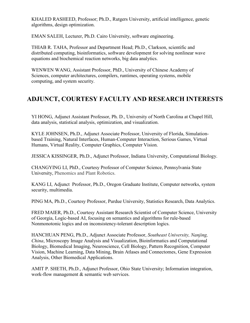KHALED RASHEED, Professor; Ph.D., Rutgers University, artificial intelligence, genetic algorithms, design optimization.

EMAN SALEH, Lecturer, Ph.D. Cairo University, software engineering.

THIAB R. TAHA, Professor and Department Head; Ph.D., Clarkson, scientific and distributed computing, bioinformatics, software development for solving nonlinear wave equations and biochemical reaction networks, big data analytics.

WENWEN WANG, Assistant Professor, PhD., University of Chinese Academy of Sciences, computer architectures, compilers, runtimes, operating systems, mobile computing, and system security.

# **ADJUNCT, COURTESY FACULTY AND RESEARCH INTERESTS**

YI HONG, Adjunct Assistant Professor, Ph. D., University of North Carolina at Chapel Hill, data analysis, statistical analysis, optimization, and visualization.

KYLE JOHNSEN, Ph.D., Adjunct Associate Professor, University of Florida, Simulationbased Training, Natural Interfaces, Human-Computer Interaction, Serious Games, Virtual Humans, Virtual Reality, Computer Graphics, Computer Vision.

JESSICA KISSINGER, Ph.D., Adjunct Professor, Indiana University, Computational Biology.

CHANGYING LI, PhD., Courtesy Professor of Computer Science, Pennsylvania State University, Phenomics and Plant Robotics.

KANG LI, Adjunct Professor, Ph.D., Oregon Graduate Institute, Computer networks, system security, multimedia.

PING MA, Ph.D., Courtesy Professor, Purdue University, Statistics Research, Data Analytics.

FRED MAIER, Ph.D., Courtesy Assistant Research Scientist of Computer Science, University of Georgia, Logic-based AI, focusing on semantics and algorithms for rule-based Nonmonotonic logics and on inconsistency-tolerant description logics.

HANCHUAN PENG, Ph.D., Adjunct Associate Professor, *Southeast University, Nanjing, China*, Microscopy Image Analysis and Visualization, Bioinformatics and Computational Biology, Biomedical Imaging, Neuroscience, Cell Biology, Pattern Recognition, Computer Vision, Machine Learning, Data Mining, Brain Atlases and Connectomes, Gene Expression Analysis, Other Biomedical Applications.

AMIT P. SHETH, Ph.D., Adjunct Professor, Ohio State University; Information integration, work-flow management & semantic web services.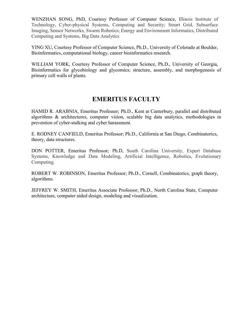WENZHAN SONG, PhD, Courtesy Professor of Computer Science, Illinois Institute of Technology, Cyber-physical Systems, Computing and Security; Smart Grid, Subsurface Imaging, Sensor Networks, Swarm Robotics; Energy and Environment Informatics, Distributed Computing and Systems, Big Data Analytics

YING XU, Courtesy Professor of Computer Science, Ph.D., University of Colorado at Boulder, Bioinformatics, computational biology, cancer bioinformatics research.

WILLIAM YORK, Courtesy Professor of Computer Science, Ph.D., University of Georgia, Bioinformatics for glycobiology and glycomics; structure, assembly, and morphogenesis of primary cell walls of plants.

# **EMERITUS FACULTY**

HAMID R. ARABNIA, Emeritus Professor; Ph.D., Kent at Canterbury, parallel and distributed algorithms & architectures, computer vision, scalable big data analytics, methodologies in prevention of cyber-stalking and cyber harassment.

E. RODNEY CANFIELD, Emeritus Professor; Ph.D., California at San Diego, Combinatorics, theory, data structures.

DON POTTER, Emeritus Professor; Ph.D, South Carolina University, Expert Database Systems, Knowledge and Data Modeling, Artificial Intelligence, Robotics, Evolutionary Computing.

ROBERT W. ROBINSON, Emeritus Professor; Ph.D., Cornell, Combinatorics, graph theory, algorithms.

JEFFREY W. SMITH, Emeritus Associate Professor; Ph.D., North Carolina State, Computer architecture, computer aided design, modeling and visualization.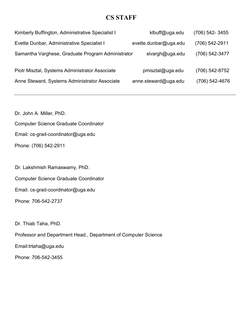### **CS STAFF**

| Kimberly Buffington, Administrative Specialist I  | klbuff@uga.edu        | (706) 542-3455 |
|---------------------------------------------------|-----------------------|----------------|
| Evette Dunbar, Administrative Specialist I        | evette.dunbar@uga.edu | (706) 542-2911 |
| Samantha Varghese, Graduate Program Administrator | slvargh@uga.edu       | (706) 542-3477 |
| Piotr Misztal, Systems Administrator Associate    | pmisztal@uga.edu      | (706) 542-8752 |
| Anne Steward, Systems Administrator Associate     | anne.steward@uga.edu  | (706) 542-4676 |
|                                                   |                       |                |

Dr. John A. Miller, PhD. Computer Science Graduate Coordinator Email: cs-grad-coordinator@uga.edu Phone: (706) 542-2911

Dr. Lakshmish Ramaswamy, PhD. Computer Science Graduate Coordinator Email: cs-grad-coordinator@uga.edu Phone: 706-542-2737

Dr. Thiab Taha, PhD.

Professor and Department Head., Department of Computer Science

Email:trtaha@uga.edu

Phone: 706-542-3455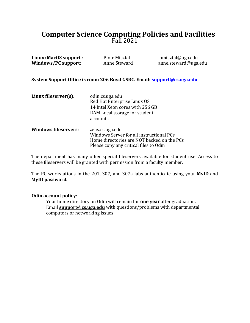# **Computer Science Computing Policies and Facilities** Fall 2021

| Linux/MacOS support:<br><b>Windows/PC support:</b> | Piotr Misztal<br>Anne Steward                                                                                                                       | pmisztal@uga.edu<br>anne.steward@uga.edu |
|----------------------------------------------------|-----------------------------------------------------------------------------------------------------------------------------------------------------|------------------------------------------|
|                                                    | System Support Office is room 206 Boyd GSRC. Email: <b>support@cs.uga.edu</b>                                                                       |                                          |
| Linux fileserver(s):                               | odin.cs.uga.edu<br>Red Hat Enterprise Linux OS<br>14 Intel Xeon cores with 256 GB<br>RAM Local storage for student<br>accounts                      |                                          |
| Windows fileservers:                               | zeus.cs.uga.edu<br>Windows Server for all instructional PCs<br>Home directories are NOT backed on the PCs<br>Please copy any critical files to Odin |                                          |

The department has many other special fileservers available for student use. Access to these fileservers will be granted with permission from a faculty member.

The PC workstations in the 201, 307, and 307a labs authenticate using your **MyID** and **MyID password**.

#### **Odin account policy**:

Your home directory on Odin will remain for **one year** after graduation. Email **[support@cs.uga.edu](mailto:support@cs.uga.edu)** with questions/problems with departmental computers or networking issues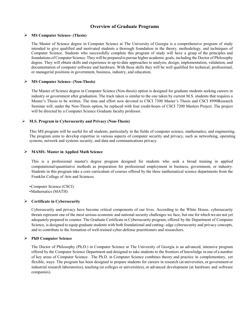#### **Overview of Graduate Programs**

#### **MS Computer Science- (Thesis)**

The Master of Science degree in Computer Science at The University of Georgia is a comprehensive program of study intended to give qualified and motivated students a thorough foundation in the theory, methodology, and techniques of Computer Science. Students who successfully complete this program of study will have a grasp of the principles and foundations of Computer Science. They will be prepared to pursue higher academic goals, including the Doctor of Philosophy degree. They will obtain skills and experience in up-to-date approaches to analysis, design, implementation, validation, and documentation of computer software and hardware. With these skills they will be well qualified for technical, professional, or managerial positions in government, business, industry, and education.

#### **MS Computer Science- (Non-Thesis)**

The Master of Science degree in Computer Science (Non-thesis) option is designed for graduate students seeking careers in industry or government after graduation. The track taken is similar to the one taken by current M.S. students that requires a Master's Thesis to be written. The time and effort now devoted to CSCI 7300 Master's Thesis and CSCI 8990Research Seminar will, under the Non-Thesis option, be replaced with four credit-hours of CSCI 7200 Masters Project. The project will be directed by a Computer Science Graduate faculty professor.

#### **M.S. Program in Cybersecurity and Privacy (Non-Thesis)**

This MS program will be useful for all students, particularly in the fields of computer science, mathematics, and engineering. The program aims to develop expertise in various aspects of computer security and privacy, such as networking, operating systems, network and systems security, and data and communications privacy.

#### **MAMS- Master in Applied Math Science**

This is a professional master's degree program designed for students who seek a broad training in applied computational/quantitative methods as preparation for professional employment in business, government, or industry. Students in this program take a core curriculum of courses offered by the three mathematical science departments from the Franklin College of Arts and Sciences.

•Computer Science (CSCI)

•Mathematics (MATH)

#### **Certificate in Cybersecurity**

Cybersecurity and privacy have become critical components of our lives. According to the White House, cybersecurity threats represent one of the most serious economic and national security challenges we face, but one for which we are not yet adequately prepared to counter. The Graduate Certificate in Cybersecurity program, offered by the Department of Computer Science, is designed to equip graduate students with both foundational and cutting- edge cybersecurity and privacy concepts, and to contribute to the formation of well-trained cyber-defense practitioners and researchers.

#### **PhD Computer Science**

The Doctor of Philosophy (Ph.D.) in Computer Science at The University of Georgia is an advanced, intensive program offered by the Computer Science Department and designed to take students to the frontiers of knowledge in one of a number of key areas of Computer Science. The Ph.D. in Computer Science combines theory and practice in complementary, yet flexible, ways. The program has been designed to prepare students for careers in research (at universities, or government or industrial research laboratories), teaching (at colleges or universities), or advanced development (at hardware and software companies).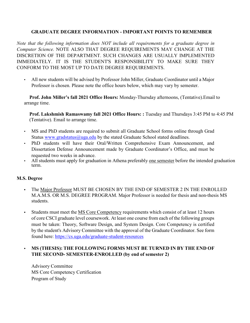#### **GRADUATE DEGREE INFORMATION - IMPORTANT POINTS TO REMEMBER**

*Note that the following information does NOT include all requirements for a graduate degree in Computer Science.* NOTE ALSO THAT DEGREE REQUIREMENTS MAY CHANGE AT THE DISCRETION OF THE DEPARTMENT. SUCH CHANGES ARE USUALLY IMPLEMENTED IMMEDIATELY. IT IS THE STUDENT'S RESPONSIBILITY TO MAKE SURE THEY CONFORM TO THE MOST UP TO DATE DEGREE REQUIREMENTS.

• All new students will be advised by Professor John Miller, Graduate Coordinator until a Major Professor is chosen. Please note the office hours below, which may vary by semester.

**Prof. John Miller's fall 2021 Office Hours:** Monday-Thursday afternoons, (Tentative).Email to arrange time.

**Prof. Lakshmish Ramaswamy fall 2021 Office Hours: :** Tuesday and Thursdays 3:45 PM to 4:45 PM (Tentative). Email to arrange time.

- MS and PhD students are required to submit all Graduate School forms online through Grad Status [www.gradstatus@uga.edu](http://www.gradstatus@uga.edu) by the stated Graduate School stated deadlines.
- PhD students will have their Oral/Written Comprehensive Exam Announcement, and Dissertation Defense Announcement made by Graduate Coordinator's Office, and must be requested two weeks in advance.
- All students must apply for graduation in Athena preferably one semester before the intended graduation term.

#### **M.S. Degree**

- **•** The Major Professor MUST BE CHOSEN BY THE END OF SEMESTER 2 IN THE ENROLLED M.A.M.S. OR M.S. DEGREE PROGRAM. Major Professor is needed for thesis and non-thesis MS students.
- Students must meet the **MS Core Competency requirements which consist of at least 12 hours** of core CSCI graduate level coursework. At least one course from each of the following groups must be taken: Theory, Software Design, and System Design. Core Competency is certified by the student's Advisory Committee with the approval of the Graduate Coordinator. See form found here:<https://cs.uga.edu/graduate-student-resources>

#### **• MS (THESIS): THE FOLLOWING FORMS MUST BE TURNED IN BY THE END OF THE SECOND- SEMESTER-ENROLLED (by end of semester 2)**

Advisory Committee MS Core Competency Certification Program of Study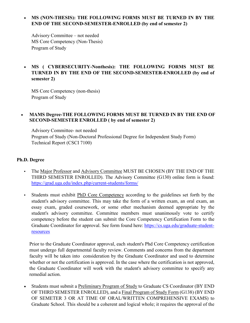#### • **MS (NON-THESIS): THE FOLLOWING FORMS MUST BE TURNED IN BY THE END OF THE SECOND-SEMESTER-ENROLLED (by end of semester 2)**

Advisory Committee – not needed MS Core Competency (Non-Thesis) Program of Study

#### • **MS ( CYBERSECURITY-Nonthesis): THE FOLLOWING FORMS MUST BE TURNED IN BY THE END OF THE SECOND-SEMESTER-ENROLLED (by end of semester 2)**

MS Core Competency (non-thesis) Program of Study

#### • **MAMS Degree-THE FOLLOWING FORMS MUST BE TURNED IN BY THE END OF SECOND-SEMESTER ENROLLED ( by end of semester 2)**

Advisory Committee- not needed Program of Study (Non-Doctoral Professional Degree for Independent Study Form) Technical Report (CSCI 7100)

#### **Ph.D. Degree**

- **•** The Major Professor and Advisory Committee MUST BE CHOSEN (BY THE END OF THE THIRD SEMESTER ENROLLED). The Advisory Committee (G130) online form is found: <https://grad.uga.edu/index.php/current-students/forms/>
- **•** Students must exhibit PhD Core Competency according to the guidelines set forth by the student's advisory committee. This may take the form of a written exam, an oral exam, an essay exam, graded coursework, or some other mechanism deemed appropriate by the student's advisory committee. Committee members must unanimously vote to certify competency before the student can submit the Core Competency Certification Form to the Graduate Coordinator for approval. See form found here: [https://cs.uga.edu/graduate-student](https://cs.uga.edu/graduate-student-resources)[resources](https://cs.uga.edu/graduate-student-resources)

Prior to the Graduate Coordinator approval, each student's Phd Core Competency certification must undergo full departmental faculty review. Comments and concerns from the department faculty will be taken into consideration by the Graduate Coordinator and used to determine whether or not the certification is approved. In the case where the certification is not approved, the Graduate Coordinator will work with the student's advisory committee to specify any remedial action.

• Students must submit a Preliminary Program of Study to Graduate CS Coordinator (BY END OF THIRD SEMESTER ENROLLED), and a Final Program of Study Form (G138) (BY END OF SEMETER 3 OR AT TIME OF ORAL/WRITTEN COMPREHENSIVE EXAMS) to Graduate School. This should be a coherent and logical whole; it requires the approval of the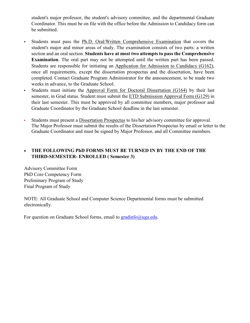student's major professor, the student's advisory committee, and the departmental Graduate Coordinator. This must be on file with the office before the Admission to Candidacy form can be submitted.

- **•** Students must pass the Ph.D. Oral/Written Comprehensive Examination that covers the student's major and minor areas of study. The examination consists of two parts: a written section and an oral section. **Students have at most two attempts to pass the Comprehensive Examination**. The oral part may not be attempted until the written part has been passed. Students are responsible for initiating an Application for Admission to Candidacy (G162), once all requirements, except the dissertation prospectus and the dissertation, have been completed. Contact Graduate Program Administrator for the announcement, to be made two weeks in advance, to the Graduate School.
- **•** Students must initiate the Approval Form for Doctoral Dissertation (G164) by their last semester, in Grad status. Student must submit the ETD Submission Approval Form (G129) in their last semester. This must be approved by all committee members, major professor and Graduate Coordinator by the Graduate School deadline in the last semester.
- **•** Students must present a Dissertation Prospectus to his/her advisory committee for approval. The Major Professor must submit the results of the Dissertation Prospectus by email or letter to the Graduate Coordinator and must be signed by Major Professor, and all Committee members.

#### • **THE FOLLOWING PhD FORMS MUST BE TURNED IN BY THE END OF THE THIRD-SEMESTER- ENROLLED ( Semester 3)**

Advisory Committee Form PhD Core Competency Form Preliminary Program of Study Final Program of Study

NOTE: All Graduate School and Computer Science Departmental forms must be submitted electronically.

For question on Graduate School forms, email to [gradinfo@uga.edu.](mailto:gradinfo@uga.edu)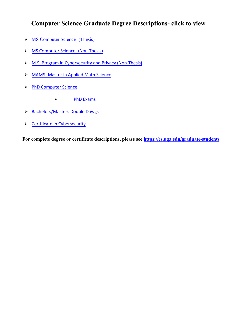# **[Computer Science Grad](https://cs.uga.edu/ms-computer-science-thesis-option)[ua](https://cs.uga.edu/ms-computer-science-non-thesis-option)te Degree Descriptions- click to view**

- > [MS Computer Science- \(Thesis\)](https://cs.uga.edu/ms-computer-science-thesis-option)
- > [M](https://cs.uga.edu/master-applied-mathematical-sciences)[S Computer Science- \(Non-Thesis\)](https://cs.uga.edu/ms-computer-science-non-thesis-option)
- > [M.S. Program in Cyber](https://cs.uga.edu/doctor-philosophy-computer-science)[security and](https://cs.uga.edu/master-science-cybersecurity-and-privacy) Privacy (Non-Thesis)
- > M[AMS- Master in Ap](https://cs.uga.edu/master-applied-mathematical-sciences)[plied Math](https://cs.uga.edu/doctor-philosophy-computer-science-phd-exams) [Science](https://cs.uga.edu/master-applied-mathematical-sciences)
- > [PhD Computer Science](https://cs.uga.edu/double-dawgs-program)
	- [PhD](https://cs.uga.edu/certificate-cybersecurity) [Exams](https://cs.uga.edu/doctor-philosophy-computer-science-phd-exams)
- > Ba[chelors/Masters Double Dawgs](https://cs.uga.edu/double-dawgs-program)
- S C[ertificate in Cybersecurity](https://cs.uga.edu/certificate-cybersecurity)

**For complete degree or certificate descriptions, please see https://cs.uga.edu/graduate-students**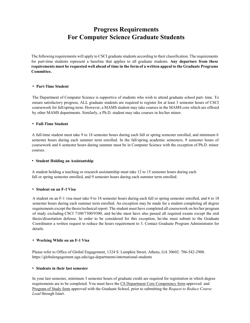# **Progress Requirements For Computer Science Graduate Students**

The following requirements will apply to CSCI graduate students according to their classification. The requirements for part-time students represent a baseline that applies to all graduate students. **Any departure from these requirements must be requested well ahead of time in the form of a written appeal to the Graduate Programs Committee.**

#### • **Part-Time Student**

The Department of Computer Science is supportive of students who wish to attend graduate school part- time. To ensure satisfactory progress, ALL graduate students are required to register for at least 3 semester hours of CSCI coursework for fall/spring term. However, a MAMS student may take courses in the MAMS core which are offered by other MAMS departments. Similarly, a Ph.D. student may take courses in his/her minor.

#### • **Full-Time Student**

A full-time student must take 9 to 18 semester hours during each fall or spring semester enrolled, and minimum 6 semester hours during each summer term enrolled. In the fall/spring academic semesters, 9 semester hours of coursework and 6 semester hours during summer must be in Computer Science with the exception of Ph.D. minor courses.

#### • **Student Holding an Assistantship**

A student holding a teaching or research assistantship must take 12 to 15 semester hours during each fall or spring semester enrolled, and 9 semester hours during each summer term enrolled.

#### • **Student on an F-1 Visa**

A student on an F-1 visa must take 9 to 18 semester hours during each fall or spring semester enrolled, and 6 to 18 semester hours during each summer term enrolled. An exception may be made for a student completing all degree requirements except the thesis/technical report. The student must have completed all coursework on his/her program of study excluding CSCI 7100/7300/9300, and he/she must have also passed all required exams except the oral thesis/dissertation defense. In order to be considered for this exception, he/she must submit to the Graduate Coordinator a written request to reduce the hours requirement to 3. Contact Graduate Program Administrator for details.

#### • **Working While on an F-1 Visa**

Please refer to Office of Global Engagement, 1324 S. Lumpkin Street, Athens, GA 30602. 706-542-2900. https://globalengagement.uga.edu/uga-departments/international-students

#### • **Students in their last semester**

In your last semester, minimum 3 semester hours of graduate credit are required for registration in which degree requirements are to be completed. You must have the CS Department Core Competency form approved and Program of Study form [approved with the Graduate School,](https://grad.uga.edu/index.php/current-students/important-dates-deadlines/) prior to submitting the *Request to Reduce Course Load* through Istart.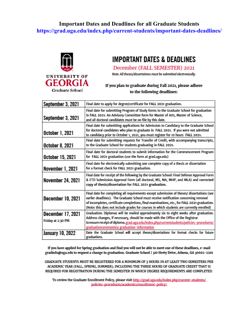### **Important Dates and Deadlines for all Graduate Students <https://grad.uga.edu/index.php/current-students/important-dates-deadlines/>**



# **IMPORTANT DATES & DEADLINES**

December (FALL SEMESTER) 2021

Note: All theses/dissertations must be submitted electronically.

#### If you plan to graduate during Fall 2021, please adhere to the following deadlines:

| September 3, 2021                      | Final date to apply for degree/certificate for FALL 2021 graduation.                                                                                                                                                                                                                                                                                                            |
|----------------------------------------|---------------------------------------------------------------------------------------------------------------------------------------------------------------------------------------------------------------------------------------------------------------------------------------------------------------------------------------------------------------------------------|
| September 3, 2021                      | Final date for submitting Program of Study forms to the Graduate School for graduation<br>in FALL 2021. An Advisory Committee form for Master of Arts, Master of Science,<br>and all doctoral candidates must be on file by this date.                                                                                                                                          |
| October 1, 2021                        | Final date for submitting applications for Admission to Candidacy to the Graduate School<br>for doctoral candidates who plan to graduate in FALL 2021. If you were not admitted<br>to candidacy prior to October 1, 2021, you must register for 10 hours FALL 2021.                                                                                                             |
| <b>October 8, 2021</b>                 | Final date for submitting requests for Transfer of Credit, with accompanying transcripts,<br>to the Graduate School for students graduating in FALL 2021.                                                                                                                                                                                                                       |
| <b>October 15, 2021</b>                | Final date for doctoral students to submit information for the Commencement Program<br>for FALL 2021 graduation (use the form at grad.uga.edu)                                                                                                                                                                                                                                  |
| November 1, 2021                       | Final date for electronically submitting one complete copy of a thesis or dissertation<br>for a format check for FALL 2021 graduation.                                                                                                                                                                                                                                          |
| <b>November 24, 2021</b>               | Final date for receipt of the following by the Graduate School: Final Defense Approval Form<br>& ETD Submission Approval Form (all doctoral, MS, MA, MHP, and MLA) and corrected<br>copy of thesis/dissertation for FALL 2021 graduation.                                                                                                                                       |
| <b>December 10, 2021</b>               | Final date for completing all requirements except submission of theses/ dissertations (see<br>earlier deadlines). The Graduate School must receive notification concerning removal<br>of incompletes, certificate completions, final examinations, etc., for FALL 2021 graduation.<br>(Note: this does not include grades for courses in which students are currently enrolled) |
| December 17, 2021<br>Friday at 2:30 PM | Graduation. Diplomas will be mailed approximately six to eight weeks after graduation.<br>Address changes, if necessary, should be made with the Office of the Registrar<br>to ensure receipt of diploma. grad.uga.edu/index.php/currentstudents/policies-procedures/<br>graduationceremonies/ graduation-information                                                           |
| <b>January 10, 2022</b>                | Date the Graduate School will accept theses/dissertations for format checks for future<br>graduations.                                                                                                                                                                                                                                                                          |

If you have applied for Spring graduation and find you will not be able to meet one of these deadlines, e-mail gradinfo@uga.edu to request a change in graduation. Graduate School | 310 Herty Drive, Athens, GA 30602-2201

GRADUATE STUDENTS MUST BE REGISTERED FOR A MINIMUM OF 3 HOURS IN AT LEAST TWO SEMESTERS PER ACADEMIC YEAR (FALL, SPRING, SUMMER), INCLUDING THE THREE HOURS OF GRADUATE CREDIT THAT IS REQUIRED FOR REGISTRATION DURING THE SEMESTER IN WHICH DEGREE REQUIREMENTS ARE COMPLETED.

To review the Graduate Enrollment Policy, please visit http://grad.uga.edu/index.php/current-students/ policies-procedures/academics/enrollment-policy/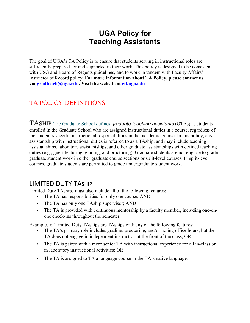# **UGA Policy for Teaching Assistants**

The goal of UGA's TA Policy is to ensure that students serving in instructional roles are sufficiently prepared for and supported in their work. This policy is designed to be consistent with USG and Board of Regents guidelines, and to work in tandem with Faculty Affairs' Instructor of Record policy. **For more information about TA Policy, please contact us via [gradteach@uga.edu.](mailto:gradteach@uga.edu?subject=) Visit the website at [ctl.uga.edu](http://ctl.uga.edu/)**

# TA POLICY DEFINITIONS

TASHIP [The Graduate School defines](https://grad.uga.edu/index.php/current-students/financial-information/graduate-school-based-financial-assistance/types-of-graduate-assistantships/) *graduate teaching assistants* (GTAs) as students enrolled in the Graduate School who are assigned instructional duties in a course, regardless of the student's specific instructional responsibilities in that academic course. In this policy, any assistantship with instructional duties is referred to as a TAship, and may include teaching assistantships, laboratory assistantships, and other graduate assistantships with defined teaching duties (e.g., guest lecturing, grading, and proctoring). Graduate students are not eligible to grade graduate student work in either graduate course sections or split-level courses. In split-level courses, graduate students are permitted to grade undergraduate student work.

# LIMITED DUTY TASHIP

Limited Duty TAships must also include all of the following features:

- The TA has responsibilities for only one course; AND
- The TA has only one TAship supervisor; AND
- The TA is provided with continuous mentorship by a faculty member, including one-onone check-ins throughout the semester.

Examples of Limited Duty TAships are TAships with any of the following features:

- The TA's primary role includes grading, proctoring, and/or holing office hours, but the TA does not engage in independent instruction at the front of the class; OR
- The TA is paired with a more senior TA with instructional experience for all in-class or in laboratory instructional activities; OR
- The TA is assigned to TA a language course in the TA's native language.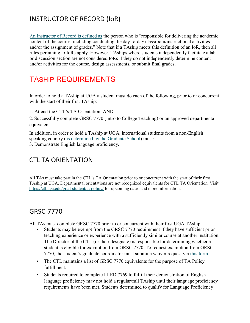# INSTRUCTOR OF RECORD (IoR)

[An Instructor of Record is defined as](https://provost.uga.edu/policies/academic-affairs-policy-manual/4-07-miscellaneous-course-policies/#p-4-07-12) the person who is "responsible for delivering the academic content of the course, including conducting the day-to-day classroom/instructional activities and/or the assignment of grades." Note that if a TAship meets this definition of an IoR, then all rules pertaining to IoRs apply. However, TAships where students independently facilitate a lab or discussion section are not considered IoRs if they do not independently determine content and/or activities for the course, design assessments, or submit final grades.

# TASHIP REQUIREMENTS

In order to hold a TAship at UGA a student must do each of the following, prior to or concurrent with the start of their first TAship:

1. Attend the CTL's TA Orientation; AND

2. Successfully complete GRSC 7770 (Intro to College Teaching) or an approved departmental equivalent.

In addition, in order to hold a TAship at UGA, international students from a non-English speaking country [\(as determined by the Graduate School\)](https://grad.uga.edu/index.php/prospective-students/international-application-information/international-supplement/country-specific/) must:

3. Demonstrate English language proficiency.

# CTL TA ORIENTATION

All TAs must take part in the CTL's TA Orientation prior to or concurrent with the start of their first TAship at UGA. Departmental orientations are not recognized equivalents for CTL TA Orientation. Visit <https://ctl.uga.edu/grad-student/ta-policy/> [f](https://ctl.uga.edu/grad-student/ta-policy/)or upcoming dates and more information.

# GRSC 7770

All TAs must complete GRSC 7770 prior to or concurrent with their first UGA TAship.

- Students may be exempt from the GRSC 7770 requirement if they have sufficient prior teaching experience or experience with a sufficiently similar course at another institution. The Director of the CTL (or their designate) is responsible for determining whether a student is eligible for exemption from GRSC 7770. To request exemption from GRSC 7770, the student's graduate coordinator must submit a waiver request via [this form.](https://ugeorgia.ca1.qualtrics.com/jfe/form/SV_bHfQwH0EqMASqTr)
- The CTL maintains a list of GRSC 7770 equivalents for the purpose of TA Policy fulfillment.
- Students required to complete LLED 7769 to fulfill their demonstration of English language proficiency may not hold a regular/full TAship until their language proficiency requirements have been met. Students determined to qualify for Language Proficiency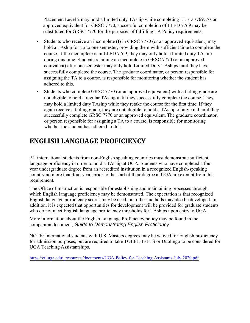Placement Level 2 may hold a limited duty TAship while completing LLED 7769. As an approved equivalent for GRSC 7770, successful completion of LLED 7769 may be substituted for GRSC 7770 for the purposes of fulfilling TA Policy requirements.

- Students who receive an incomplete (I) in GRSC 7770 (or an approved equivalent) may hold a TAship for up to one semester, providing them with sufficient time to complete the course. If the incomplete is in LLED 7769, they may only hold a limited duty TAship during this time. Students retaining an incomplete in GRSC 7770 (or an approved equivalent) after one semester may only hold Limited Duty TAships until they have successfully completed the course. The graduate coordinator, or person responsible for assigning the TA to a course, is responsible for monitoring whether the student has adhered to this.
- Students who complete GRSC 7770 (or an approved equivalent) with a failing grade are not eligible to hold a regular TAship until they successfully complete the course. They may hold a limited duty TAship while they retake the course for the first time. If they again receive a failing grade, they are not eligible to hold a TAship of any kind until they successfully complete GRSC 7770 or an approved equivalent. The graduate coordinator, or person responsible for assigning a TA to a course, is responsible for monitoring whether the student has adhered to this.

# **ENGLISH LANGUAGE PROFICIENCY**

All international students from non-English speaking countries must demonstrate sufficient language proficiency in order to hold a TAship at UGA. Students who have completed a fouryear undergraduate degree from an accredited institution in a recognized English-speaking country no more than four years prior to the start of their degree at UGA are exempt from this requirement.

The Office of Instruction is responsible for establishing and maintaining processes through which English language proficiency may be demonstrated. The expectation is that recognized English language proficiency scores may be used, but other methods may also be developed. In addition, it is expected that opportunities for development will be provided for graduate students who do not meet English language proficiency thresholds for TAships upon entry to UGA.

More information about the English Language Proficiency policy may be found in the companion document, *Guide to Demonstrating English Proficiency*.

NOTE: International students with U.S. Masters degrees may be waived for English proficiency for admission purposes, but are required to take TOEFL, IELTS or Duolingo to be considered for [UGA Teaching Assistantships.](https://ctl.uga.edu/_resources/documents/UGA-Policy-for-Teaching-Assistants-July-2020.pdf) 

https://ctl.uga.edu/\_resources/documents/UGA-Policy-for-Teaching-Assistants-July-2020.pdf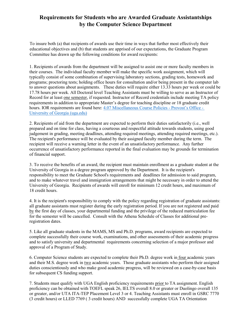### **Requirements for Students who are Awarded Graduate Assistantships by the Computer Science Department**

To insure both (a) that recipients of awards use their time in ways that further most effectively their educational objectives and (b) that students are apprised of our expectations, the Graduate Program Committee has drawn up the following conditions for award recipients:

1. Recipients of awards from the department will be assigned to assist one or more faculty members in their courses. The individual faculty member will make the specific work assignment, which will typically consist of some combination of supervising laboratory sections, grading tests, homework and programs; proctoring tests; holding office hours for consultation and/or being present in the computer lab to answer questions about assignments. These duties will require either 13.33 hours per week or could be 17.78 hours per week. All Doctoral level Teaching Assistants must be willing to serve as an Instructor of Record for at least one semester, if requested. Instructor of Record credentials include meeting TA policy requirements in addition to appropriate Master's degree for teaching discipline or 18 graduate credit [hours. IOR requirements are found here: 4.07 Miscellaneous Course Policies - Provost's Office -](https://provost.uga.edu/policies/academic-affairs-policy-manual/4-07-miscellaneous-course-policies/) University of Georgia (uga.edu)

2. Recipients of aid from the department are expected to perform their duties satisfactorily (i.e., well prepared and on time for class, having a courteous and respectful attitude towards students, using good judgement in grading, meeting deadlines, attending required meetings, attending required meetings, etc.). The recipient's performance will be evaluated by their assigned faculty member during the term. The recipient will receive a warning letter in the event of an unsatisfactory performance. Any further occurrence of unsatisfactory performance reported in the final evaluation may be grounds for termination of financial support.

3. To receive the benefits of an award, the recipient must maintain enrollment as a graduate student at the University of Georgia in a degree program approved by the Department. It is the recipient's responsibility to meet the Graduate School's requirements and deadlines for admission to said program, and to make whatever travel and immigration arrangements that might be necessary in order to attend the University of Georgia. Recipients of awards will enroll for minimum 12 credit hours, and maximum of 18 credit hours.

4. It is the recipient's responsibility to comply with the policy regarding registration of graduate assistants: all graduate assistants must register during the early registration period. If you are not registered and paid by the first day of classes, your departmental funding and the privilege of the reduced matriculation fee for the semester will be cancelled. Consult with the Athena Schedule of Classes for additional preregistration dates.

5. Like all graduate students in the MAMS, MS and Ph.D. programs, award recipients are expected to complete successfully their course work, examinations, and other assessments of their academic progress and to satisfy university and departmental requirements concerning selection of a major professor and approval of a Program of Study.

6. Computer Science students are expected to complete their Ph.D. degree work in four academic years and their M.S. degree work in two academic years. Those graduate assistants who perform their assigned duties conscientiously and who make good academic progress, will be reviewed on a case-by-case basis for subsequent CS funding support.

7. Students must qualify with UGA English proficiency requirements prior to TA assignment. English proficiency can be obtained with TOEFL speak 26, IELTS overall 8.0 or greater or Duolingo overall 135 or greater, and/or UTA ITA-TEP Placement Level 3 or 4. Teaching Assistants must enroll in GSRC 7770 (3 credit hours) or LLED 7769 ( 3 credit hours) AND successfully complete UGA TA Orientation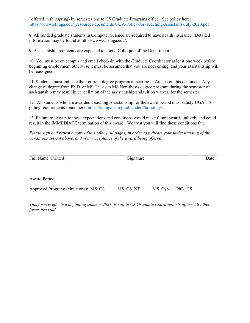(offered in fall/spring) by semester one to CS Graduate Programs office. See policy here: https://www.ctl.uga.edu/\_resources/documents/UGA-Policy-for-Teaching-Assistants-July-2020.pdf

8. All funded graduate students in Computer Science are required to have health insurance. Detailed information may be found at http://www.uhs.uga.edu/.

9. Assistantship recipients are expected to attend Colloquia of the Department.

10. You must be on campus and email check-in with the Graduate Coordinator at least one week before beginning employment otherwise it must be assumed that you are not coming, and your assistantship will be reassigned.

11. Students must indicate their current degree program appearing in Athena on this document. Any change of degree from Ph.D. or MS Thesis to MS Non-thesis degree program during the semester of assistantship may result in cancellation of the assistantship and tuition waiver, for the semester.

12. All students who are awarded Teaching Assistantship for the award period must satisfy UGA TA policy requirements found here: [https://ctl.uga.edu/grad-student/ta-policy/.](https://ctl.uga.edu/grad-student/ta-policy/)

13. Failure to live up to these expectations and conditions would make future awards unlikely and could result in the IMMEDIATE termination of this award. We trust you will find these conditions fair.

*Please sign and return a copy of this offer ( all pages) in order to indicate your understanding of the conditions set out above, and your acceptance of the award being offered.* 

| Full Name (Printed)                   | Signature |        |        | Date |
|---------------------------------------|-----------|--------|--------|------|
| <b>Award Period:</b>                  |           |        |        |      |
| Approved Program: (circle one): MS CS | MS CS NT  | MS Cyb | PhD CS |      |

*This form is effective beginning summer 2021. Email to CS Graduate Coordinator's office. All other forms are void.*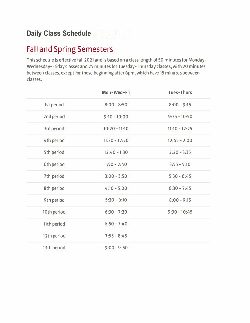# **Fall and Spring Semesters**

This schedule is effective fall 2021 and is based on a class length of 50 minutes for Monday-Wednesday-Friday classes and 75minutes for Tuesday-Thursday classes, with 20 minutes between classes, except for those beginning after 6pm, which have 15 minutes between classes.

|                   | Mon-Wed-Fri     | Tues-Thurs      |
|-------------------|-----------------|-----------------|
| <b>Ist period</b> | $8:00 - 8:50$   | $8:00 - 9:15$   |
| 2nd period        | $9:10 - 10:00$  | $9:35 - 10:50$  |
| 3rd period        | $10:20 - 11:10$ | $11:10 - 12:25$ |
| 4th period        | $11:30 - 12:20$ | $12:45 - 2:00$  |
| 5th period        | $12:40 - 1:30$  | $2:20 - 3:35$   |
| <b>6th period</b> | $1:50 - 2:40$   | $3:55 - 5:10$   |
| 7th period        | $3:00 - 3:50$   | $5:30 - 6:45$   |
| 8th period        | $4:10 - 5:00$   | $6:30 - 7:45$   |
| 9th period        | $5:20 - 6:10$   | $8:00 - 9:15$   |
| 10th period       | $6:30 - 7:20$   | $9:30 - 10:45$  |
| 11th period       | $6:50 - 7:40$   |                 |
| 12th period       | $7:55 - 8:45$   |                 |
| 13th period       | $9:00 - 9:50$   |                 |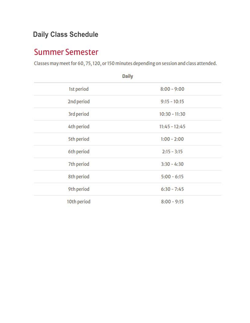# **Daily Class Schedule**

# **Summer Semester**

Classes may meet for 60, 75, 120, or 150 minutes depending on session and class attended.

| <b>Daily</b> |                 |  |
|--------------|-----------------|--|
| 1st period   | $8:00 - 9:00$   |  |
| 2nd period   | $9:15 - 10:15$  |  |
| 3rd period   | $10:30 - 11:30$ |  |
| 4th period   | $11:45 - 12:45$ |  |
| 5th period   | $1:00 - 2:00$   |  |
| 6th period   | $2:15 - 3:15$   |  |
| 7th period   | $3:30 - 4:30$   |  |
| 8th period   | $5:00 - 6:15$   |  |
| 9th period   | $6:30 - 7:45$   |  |
| 10th period  | $8:00 - 9:15$   |  |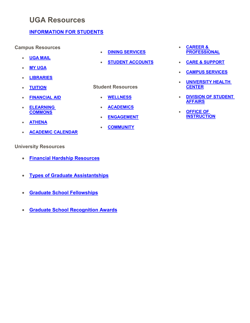# **[UGA Resources](https://www.uga.edu/students.html)**

### **[INFORMATION FOR](https://www.uga.edu/students.html) STUDENTS**

#### **Campus Resources**

- **[UGA MAIL](https://ugamail.uga.edu/)**
- **[MY UGA](https://my.uga.edu/)**
- **[LIBRARIES](http://www.libs.uga.edu/)**
- **[TUITION](http://busfin.uga.edu/bursar/)**
- **[FINANCIAL AID](https://osfa.uga.edu/)**
- **[ELEARNING](https://uga.view.usg.edu/) [COMMONS](https://uga.view.usg.edu/)**
- **[ATHENA](https://athena.uga.edu/)**
- **[ACADEMIC CALENDAR](http://www.reg.uga.edu/calendars)**

#### **University Resources**

- **[Financial Hardship Resources](https://grad.uga.edu/index.php/current-students/financial-information/graduate-school-based-financial-assistance/unexpected-financial-hardship/)**
- **[Types of Graduate Assistantships](https://grad.uga.edu/index.php/current-students/financial-information/graduate-school-based-financial-assistance/types-of-graduate-assistantships/)**
- **[Graduate School Fellowships](https://gradweb01.cc.uga.edu/index.php/current-students/financial-information/fellowships-scholarships/graduate-school-fellowship/)**
- **[Graduate School Recognition Awards](https://grad.uga.edu/index.php/current-students/financial-information/graduate-school-recognition-awards/)**
- **[DINING SERVICES](https://dining.uga.edu/)**
- **[STUDENT ACCOUNTS](https://athena.uga.edu/)**

#### **Student Resources**

- **[WELLNESS](https://student.uga.edu/wellness)**
- **[ACADEMICS](https://student.uga.edu/academics)**
- **[ENGAGEMENT](https://student.uga.edu/engagement)**
- **[COMMUNITY](https://student.uga.edu/community)**
- **[CAREER &](https://student.uga.edu/career_and_professional) [PROFESSIONAL](https://student.uga.edu/career_and_professional)**
- **[CARE & SUPPORT](https://student.uga.edu/care_and_support)**
- **[CAMPUS SERVICES](https://student.uga.edu/campus_services)**
- **[UNIVERSITY HEALTH](https://uhs.uga.edu/) [CENTER](https://uhs.uga.edu/)**
- **[DIVISION OF STUDENT](https://studentaffairs.uga.edu/) [AFFAIRS](https://studentaffairs.uga.edu/)**
- **[OFFICE OF](https://ovpi.uga.edu/) [INSTRUCTION](https://ovpi.uga.edu/)**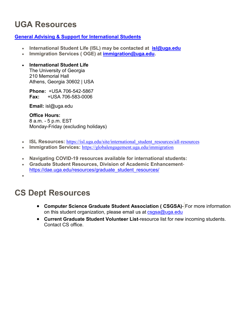# **UGA Resources**

### **[General Advising & Support for International Students](https://isl.uga.edu/content_page/service-continuity-information-for-international-students-content-page)**

- **International Student Life (ISL) may be contacted at [isl@uga.edu](mailto:isl@uga.edu)**
- **Immigration Services ( OGE) at [immigration@uga.edu.](mailto:immigration@uga.edu)**

### • **International Student Life**

The University of Georgia 210 Memorial Hall Athens, Georgia 30602 | USA

**Phone:** +USA 706-542-5867 **Fax:** +USA 706-583-0006

**Email:** [isl@uga.edu](mailto:ugaisl@uga.edu)

**Office Hours:** 8 a.m. - 5 p.m. EST Monday-Friday [\(excluding holidays\)](http://www.uga.edu/holiday_schedule/)

- **ISL Resources:** [https://isl.uga.edu/site/international\\_student\\_resources/all-resources](https://isl.uga.edu/site/international_student_resources/all-resources)
- **Immigration Services:** <https://globalengagement.uga.edu/immigration>
- **Navigating COVID-19 resources available for international students:**
- **Graduate Student Resources, Division of Academic Enhancement**[https://dae.uga.edu/resources/graduate\\_student\\_resources/](https://dae.uga.edu/resources/graduate_student_resources/)

•

# **CS Dept Resources**

- **Computer Science Graduate Student Association ( CSGSA)** For more information on this student organization, please email us at  $csgsa@uga.edu$
- **Current Graduate Student Volunteer List**-resource list for new incoming students. Contact CS office.